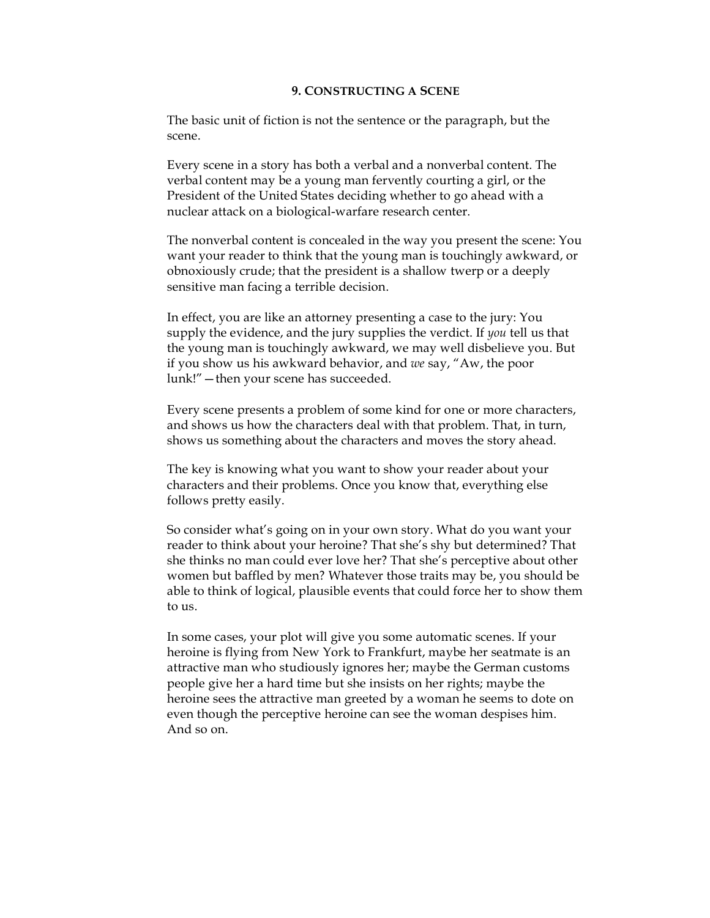## **9. CONSTRUCTING A SCENE**

The basic unit of fiction is not the sentence or the paragraph, but the scene.

Every scene in a story has both a verbal and a nonverbal content. The verbal content may be a young man fervently courting a girl, or the President of the United States deciding whether to go ahead with a nuclear attack on a biological-warfare research center.

The nonverbal content is concealed in the way you present the scene: You want your reader to think that the young man is touchingly awkward, or obnoxiously crude; that the president is a shallow twerp or a deeply sensitive man facing a terrible decision.

In effect, you are like an attorney presenting a case to the jury: You supply the evidence, and the jury supplies the verdict. If *you* tell us that the young man is touchingly awkward, we may well disbelieve you. But if you show us his awkward behavior, and *we* say, "Aw, the poor lunk!"—then your scene has succeeded.

Every scene presents a problem of some kind for one or more characters, and shows us how the characters deal with that problem. That, in turn, shows us something about the characters and moves the story ahead.

The key is knowing what you want to show your reader about your characters and their problems. Once you know that, everything else follows pretty easily.

So consider what's going on in your own story. What do you want your reader to think about your heroine? That she's shy but determined? That she thinks no man could ever love her? That she's perceptive about other women but baffled by men? Whatever those traits may be, you should be able to think of logical, plausible events that could force her to show them to us.

In some cases, your plot will give you some automatic scenes. If your heroine is flying from New York to Frankfurt, maybe her seatmate is an attractive man who studiously ignores her; maybe the German customs people give her a hard time but she insists on her rights; maybe the heroine sees the attractive man greeted by a woman he seems to dote on even though the perceptive heroine can see the woman despises him. And so on.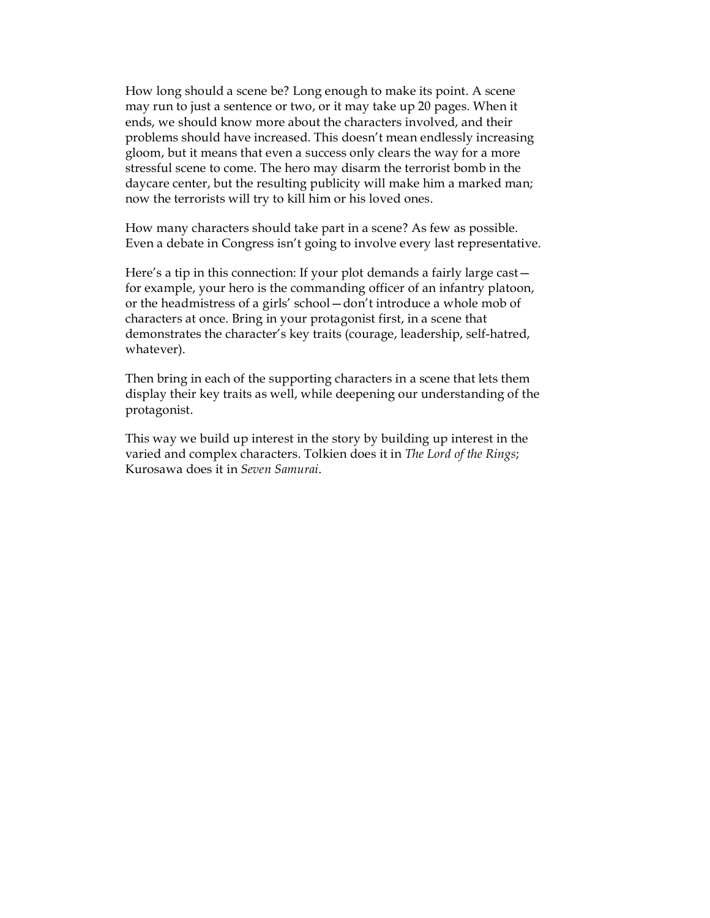How long should a scene be? Long enough to make its point. A scene may run to just a sentence or two, or it may take up 20 pages. When it ends, we should know more about the characters involved, and their problems should have increased. This doesn't mean endlessly increasing gloom, but it means that even a success only clears the way for a more stressful scene to come. The hero may disarm the terrorist bomb in the daycare center, but the resulting publicity will make him a marked man; now the terrorists will try to kill him or his loved ones.

How many characters should take part in a scene? As few as possible. Even a debate in Congress isn't going to involve every last representative.

Here's a tip in this connection: If your plot demands a fairly large cast for example, your hero is the commanding officer of an infantry platoon, or the headmistress of a girls' school—don't introduce a whole mob of characters at once. Bring in your protagonist first, in a scene that demonstrates the character's key traits (courage, leadership, self-hatred, whatever).

Then bring in each of the supporting characters in a scene that lets them display their key traits as well, while deepening our understanding of the protagonist.

This way we build up interest in the story by building up interest in the varied and complex characters. Tolkien does it in *The Lord of the Rings*; Kurosawa does it in *Seven Samurai*.